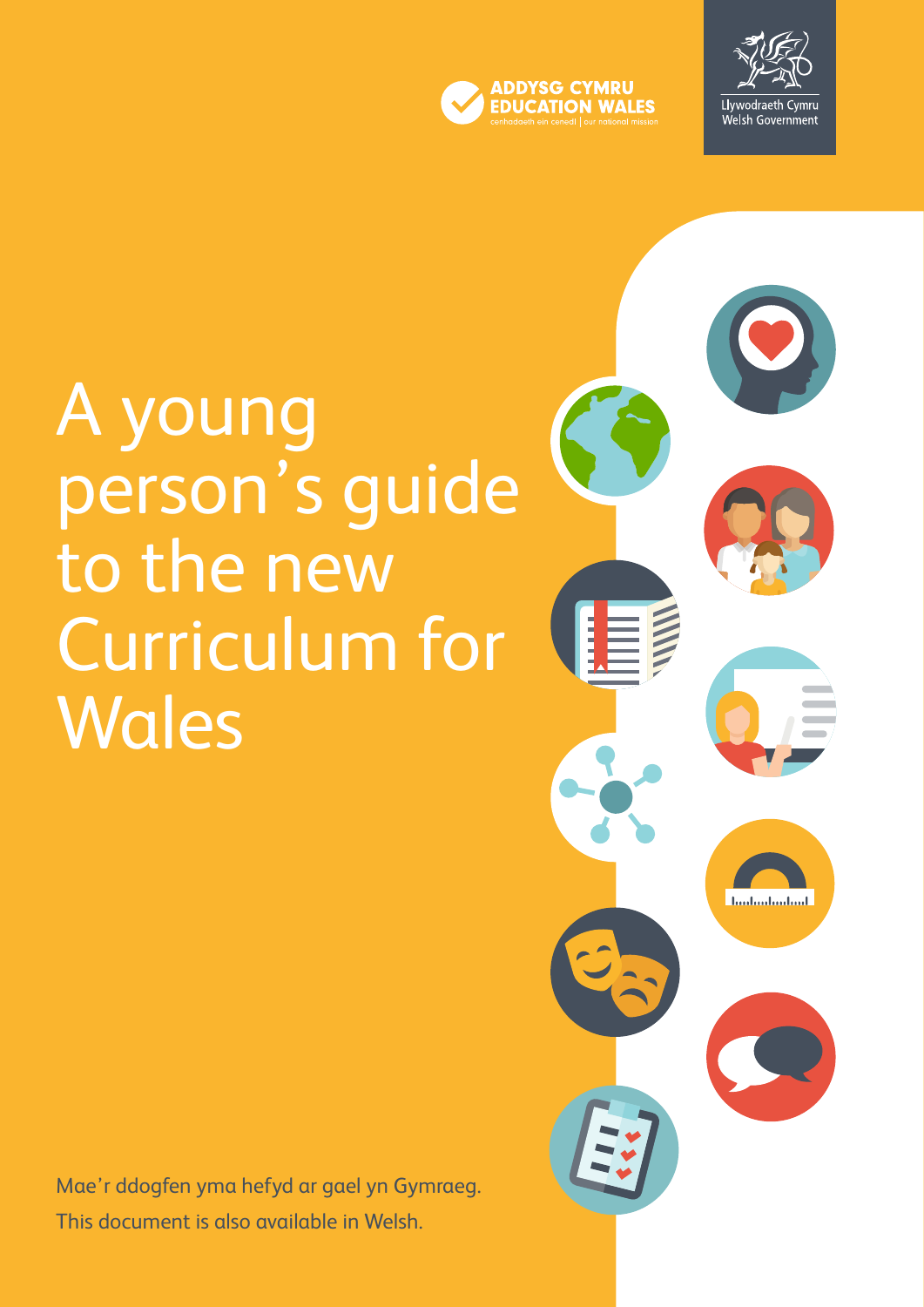

 $\blacktriangleleft$ 



**Lindual** and and

# A young person's guide to the new Curriculum for **Wales**

Mae'r ddogfen yma hefyd ar gael yn Gymraeg. This document is also available in Welsh.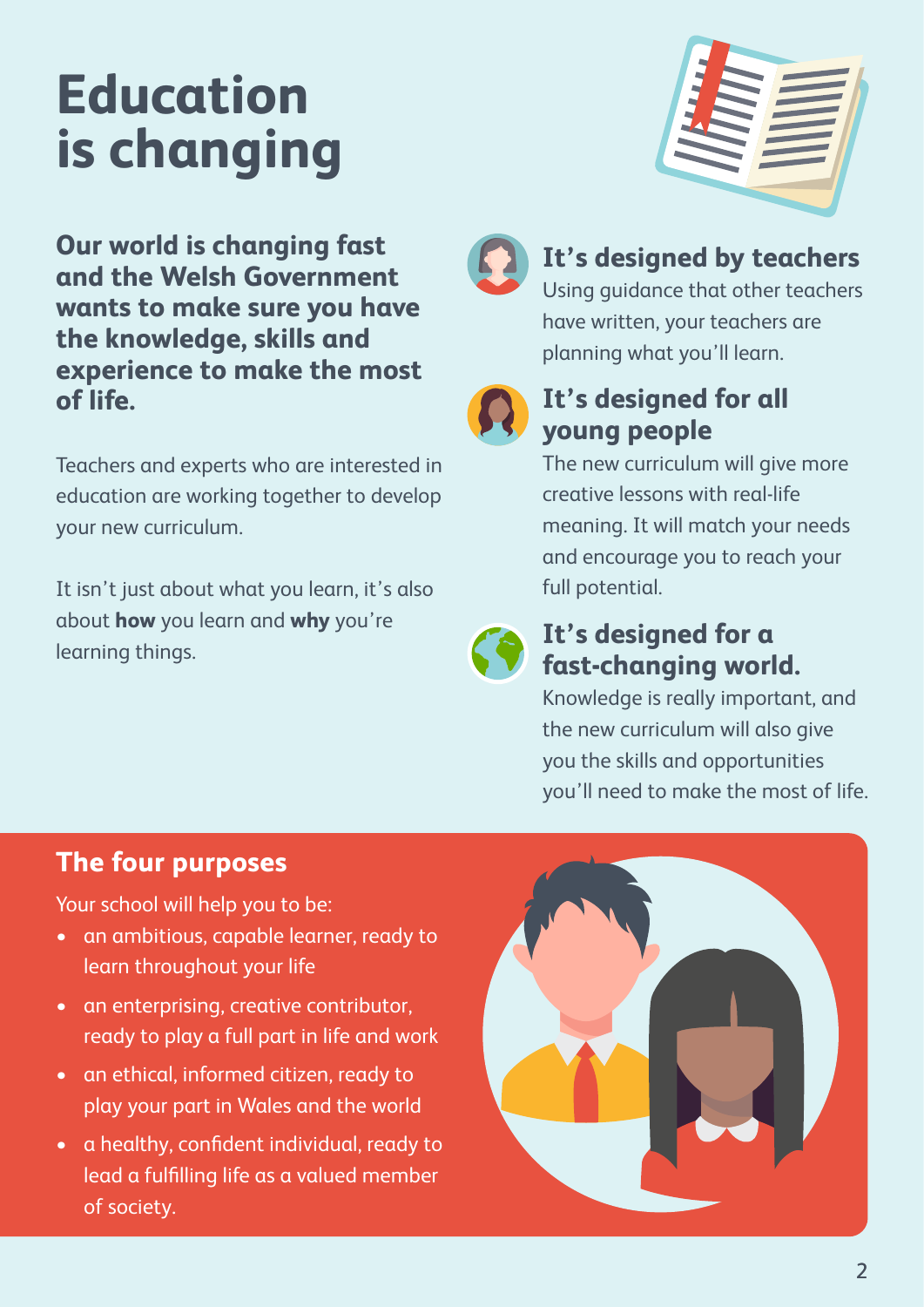# **Education is changing**



**Our world is changing fast and the Welsh Government wants to make sure you have the knowledge, skills and experience to make the most of life.** 

Teachers and experts who are interested in education are working together to develop your new curriculum.

It isn't just about what you learn, it's also about **how** you learn and **why** you're learning things.



### **It's designed by teachers**

Using guidance that other teachers have written, your teachers are planning what you'll learn.



### **It's designed for all young people**

The new curriculum will give more creative lessons with real-life meaning. It will match your needs and encourage you to reach your full potential.



### **It's designed for a fast-changing world.**

Knowledge is really important, and the new curriculum will also give you the skills and opportunities you'll need to make the most of life.

### **The four purposes**

Your school will help you to be:

- an ambitious, capable learner, ready to learn throughout your life
- an enterprising, creative contributor, ready to play a full part in life and work
- an ethical, informed citizen, ready to play your part in Wales and the world
- a healthy, confident individual, ready to lead a fulfilling life as a valued member of society.

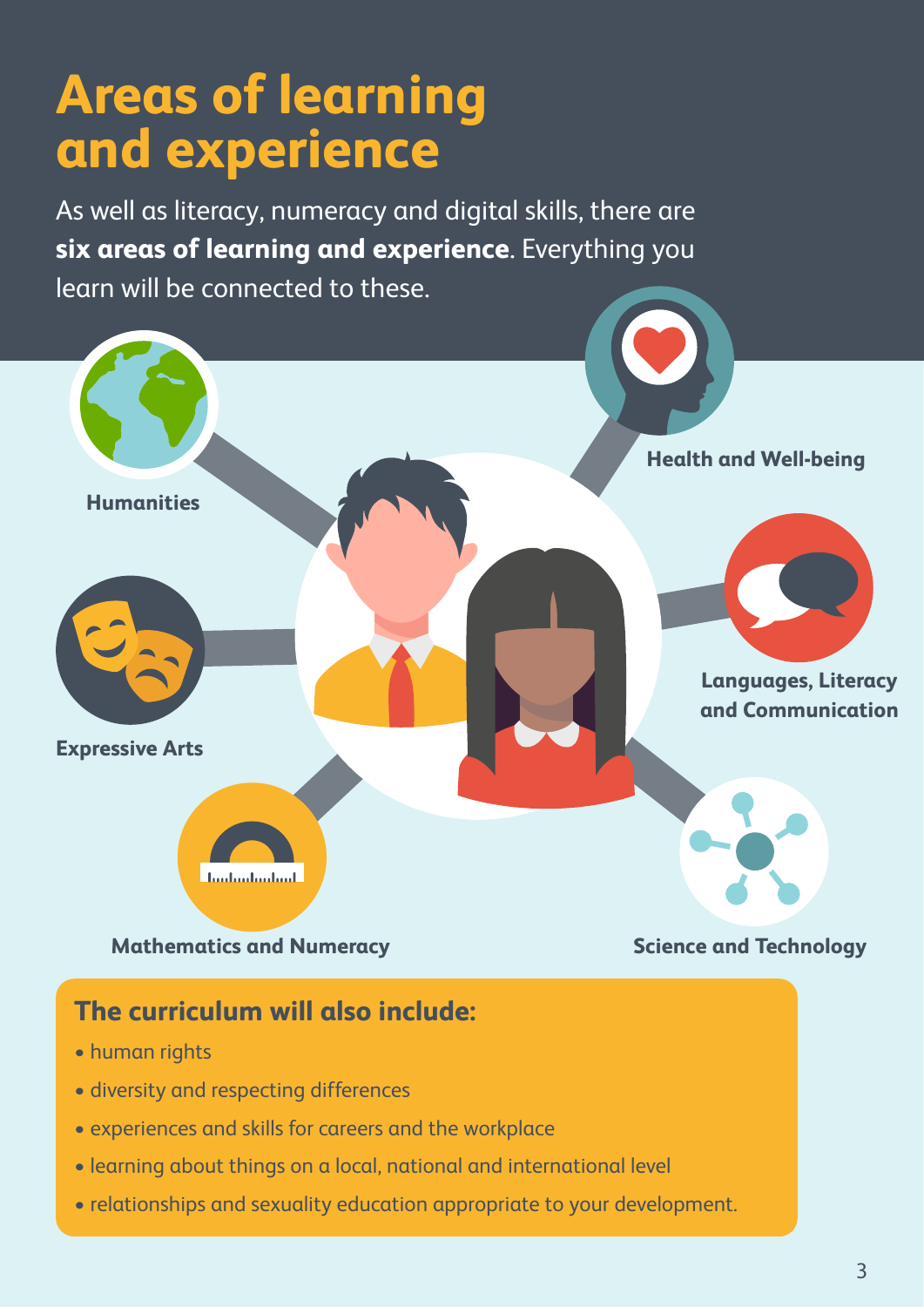## **Areas of learning and experience**

As well as literacy, numeracy and digital skills, there are **six areas of learning and experience**. Everything you learn will be connected to these.



- diversity and respecting differences
- experiences and skills for careers and the workplace
- learning about things on a local, national and international level
- relationships and sexuality education appropriate to your development.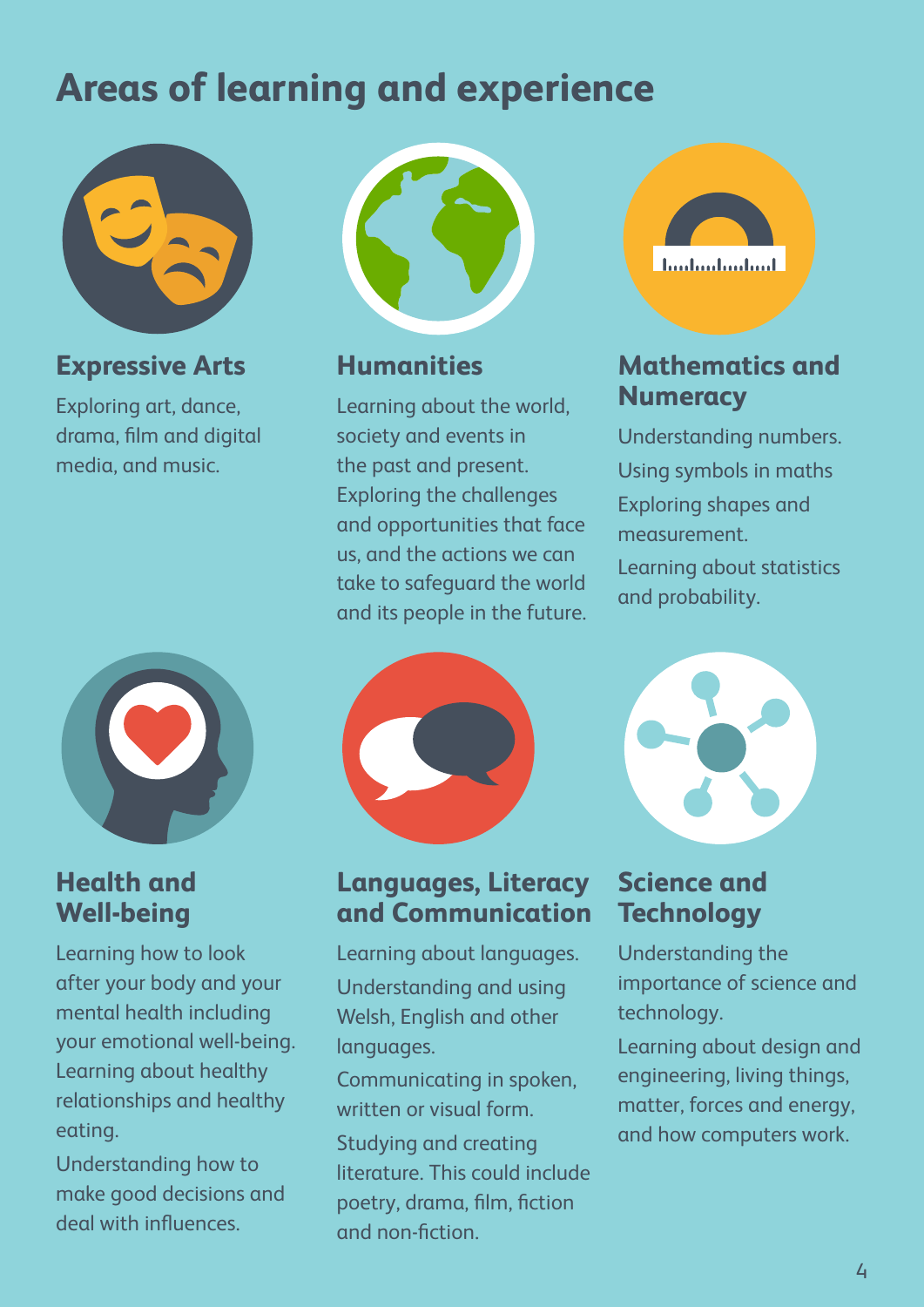### **Areas of learning and experience**



### **Expressive Arts**

Exploring art, dance, drama, film and digital media, and music.



#### **Health and Well-being**

Learning how to look after your body and your mental health including your emotional well-being. Learning about healthy relationships and healthy eating.

Understanding how to make good decisions and deal with influences.



#### **Humanities**

Learning about the world, society and events in the past and present. Exploring the challenges and opportunities that face us, and the actions we can take to safeguard the world and its people in the future.



#### **Languages, Literacy and Communication**

Learning about languages. Understanding and using Welsh, English and other languages.

Communicating in spoken, written or visual form. Studying and creating literature. This could include poetry, drama, film, fiction and non-fiction.



### **Mathematics and Numeracy**

Understanding numbers. Using symbols in maths Exploring shapes and measurement. Learning about statistics and probability.



### **Science and Technology**

Understanding the importance of science and technology.

Learning about design and engineering, living things, matter, forces and energy, and how computers work.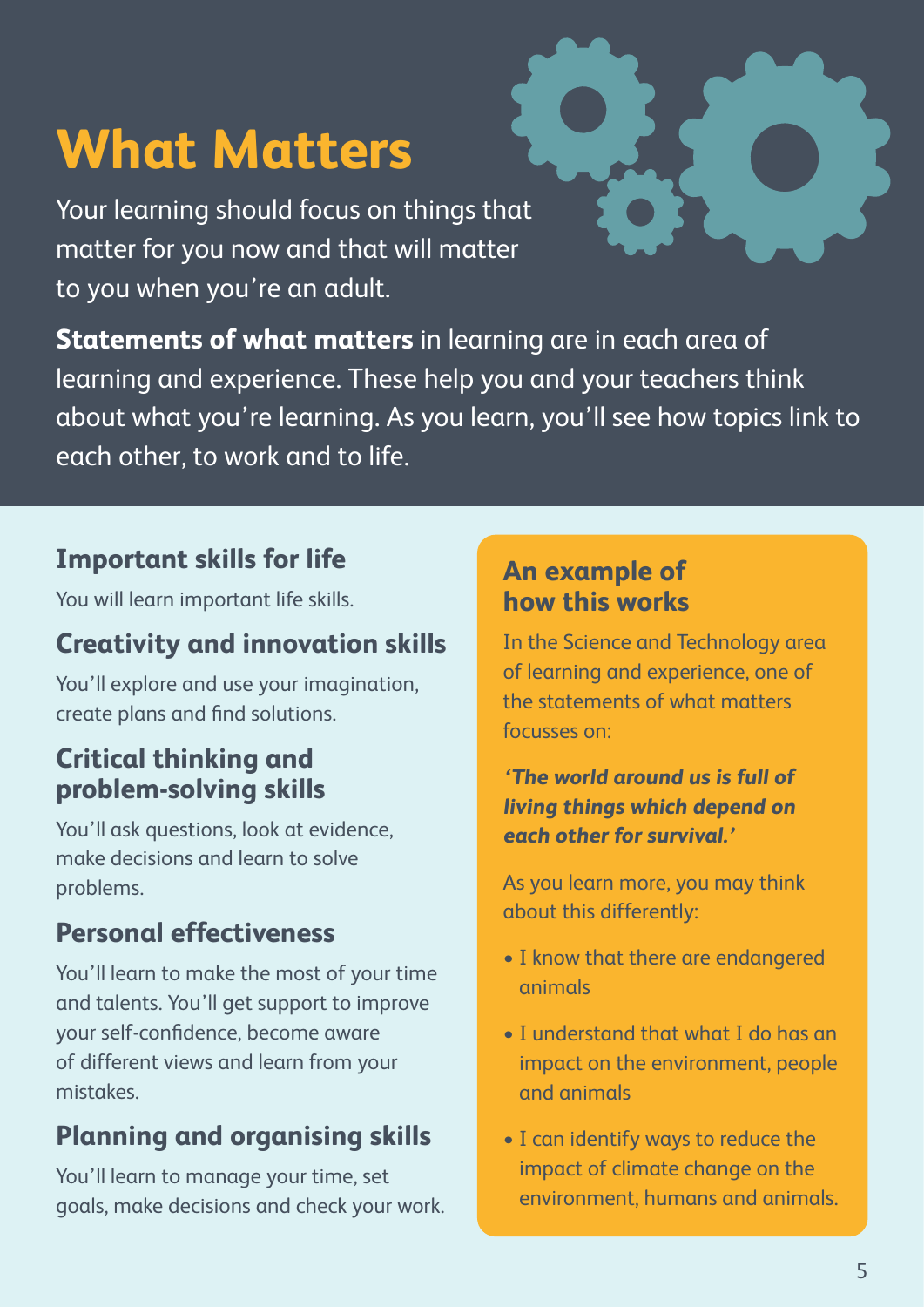# **What Matters**

Your learning should focus on things that matter for you now and that will matter to you when you're an adult.

**Statements of what matters** in learning are in each area of learning and experience. These help you and your teachers think about what you're learning. As you learn, you'll see how topics link to each other, to work and to life.

### **Important skills for life**

You will learn important life skills.

### **Creativity and innovation skills**

You'll explore and use your imagination, create plans and find solutions.

### **Critical thinking and problem-solving skills**

You'll ask questions, look at evidence, make decisions and learn to solve problems.

### **Personal effectiveness**

You'll learn to make the most of your time and talents. You'll get support to improve your self-confidence, become aware of different views and learn from your mistakes.

### **Planning and organising skills**

You'll learn to manage your time, set goals, make decisions and check your work.

#### **An example of how this works**

In the Science and Technology area of learning and experience, one of the statements of what matters focusses on:

#### **'The world around us is full of living things which depend on each other for survival.'**

As you learn more, you may think about this differently:

- I know that there are endangered animals
- I understand that what I do has an impact on the environment, people and animals
- I can identify ways to reduce the impact of climate change on the environment, humans and animals.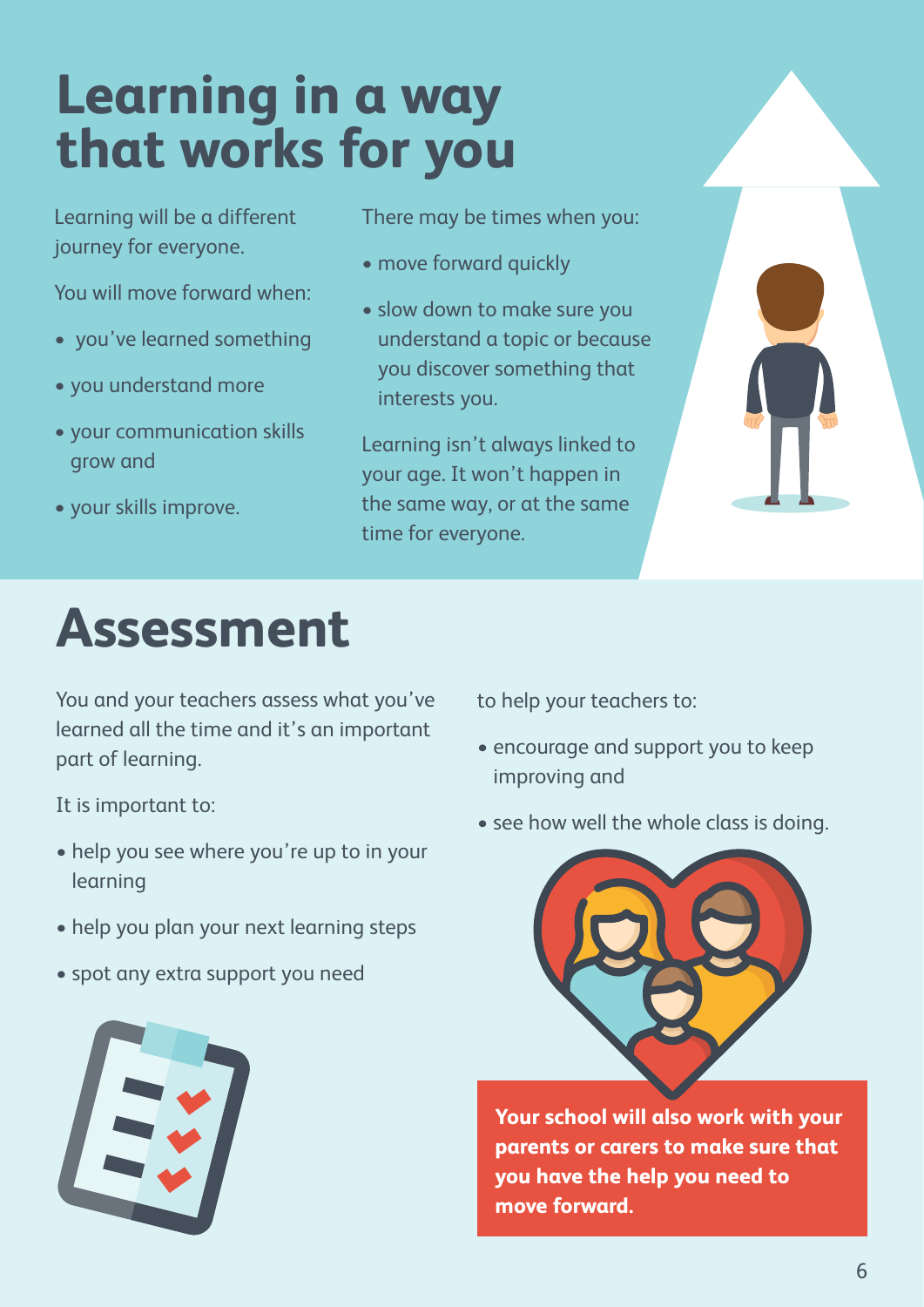# **Learning in a way that works for you**

Learning will be a different journey for everyone.

You will move forward when:

- you've learned something
- you understand more
- your communication skills grow and
- your skills improve.

## **Assessment**

You and your teachers assess what you've learned all the time and it's an important part of learning.

It is important to:

- help you see where you're up to in your learning
- help you plan your next learning steps
- spot any extra support you need



There may be times when you:

- move forward quickly
- slow down to make sure you understand a topic or because you discover something that interests you.

Learning isn't always linked to your age. It won't happen in the same way, or at the same time for everyone.



to help your teachers to:

- encourage and support you to keep improving and
- see how well the whole class is doing.



**Your school will also work with your parents or carers to make sure that you have the help you need to move forward.**